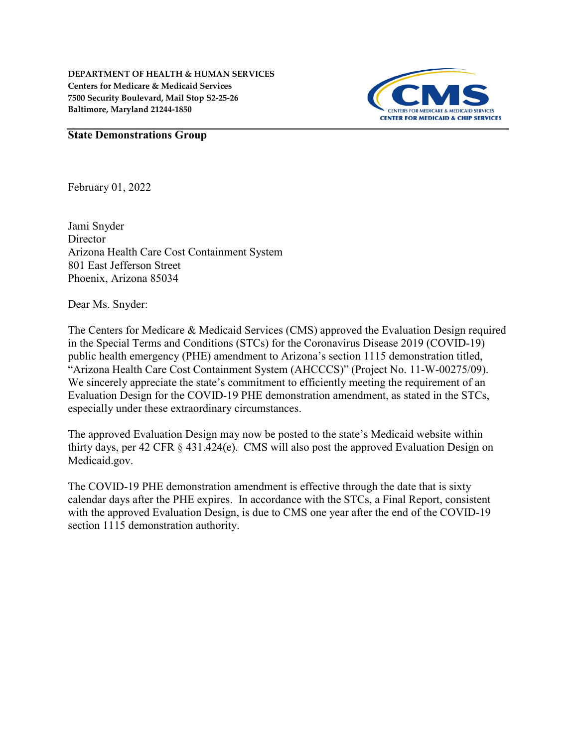**DEPARTMENT OF HEALTH & HUMAN SERVICES Centers for Medicare & Medicaid Services 7500 Security Boulevard, Mail Stop S2-25-26 Baltimore, Maryland 21244-1850**



## **State Demonstrations Group**

February 01, 2022

Jami Snyder **Director** Arizona Health Care Cost Containment System 801 East Jefferson Street Phoenix, Arizona 85034

Dear Ms. Snyder:

The Centers for Medicare & Medicaid Services (CMS) approved the Evaluation Design required in the Special Terms and Conditions (STCs) for the Coronavirus Disease 2019 (COVID-19) public health emergency (PHE) amendment to Arizona's section 1115 demonstration titled, "Arizona Health Care Cost Containment System (AHCCCS)" (Project No. 11-W-00275/09). We sincerely appreciate the state's commitment to efficiently meeting the requirement of an Evaluation Design for the COVID-19 PHE demonstration amendment, as stated in the STCs, especially under these extraordinary circumstances.

The approved Evaluation Design may now be posted to the state's Medicaid website within thirty days, per 42 CFR § 431.424(e). CMS will also post the approved Evaluation Design on Medicaid.gov.

The COVID-19 PHE demonstration amendment is effective through the date that is sixty calendar days after the PHE expires. In accordance with the STCs, a Final Report, consistent with the approved Evaluation Design, is due to CMS one year after the end of the COVID-19 section 1115 demonstration authority.